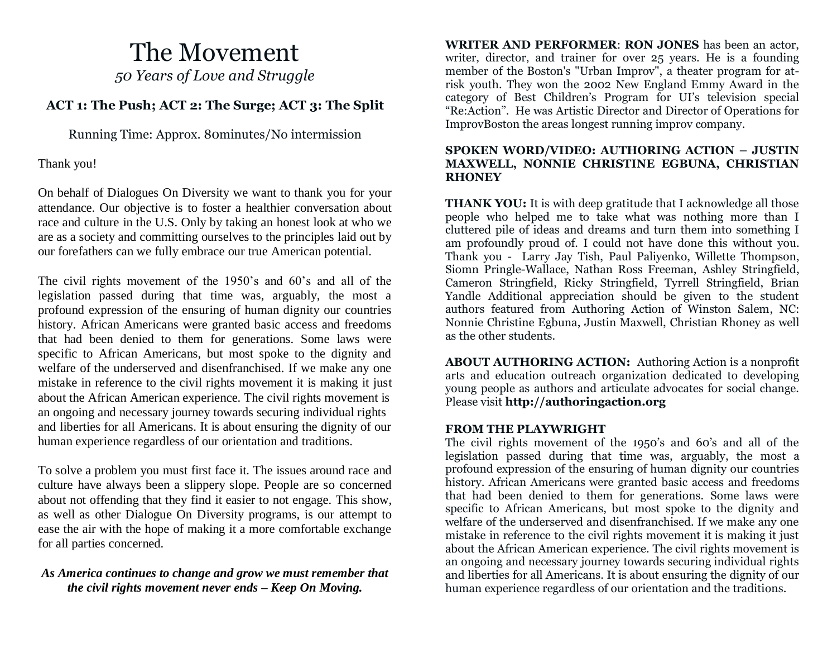# The Movement *50 Years of Love and Struggle*

## **ACT 1: The Push; ACT 2: The Surge; ACT 3: The Split**

Running Time: Approx. 80minutes/No intermission

Thank you!

On behalf of Dialogues On Diversity we want to thank you for your attendance. Our objective is to foster a healthier conversation about race and culture in the U.S. Only by taking an honest look at who we are as a society and committing ourselves to the principles laid out by our forefathers can we fully embrace our true American potential.

The civil rights movement of the 1950's and 60's and all of the legislation passed during that time was, arguably, the most a profound expression of the ensuring of human dignity our countries history. African Americans were granted basic access and freedoms that had been denied to them for generations. Some laws were specific to African Americans, but most spoke to the dignity and welfare of the underserved and disenfranchised. If we make any one mistake in reference to the civil rights movement it is making it just about the African American experience. The civil rights movement is an ongoing and necessary journey towards securing individual rights and liberties for all Americans. It is about ensuring the dignity of our human experience regardless of our orientation and traditions.

To solve a problem you must first face it. The issues around race and culture have always been a slippery slope. People are so concerned about not offending that they find it easier to not engage. This show, as well as other Dialogue On Diversity programs, is our attempt to ease the air with the hope of making it a more comfortable exchange for all parties concerned.

## *As America continues to change and grow we must remember that the civil rights movement never ends – Keep On Moving.*

**WRITER AND PERFORMER**: **RON JONES** has been an actor, writer, director, and trainer for over 25 years. He is a founding member of the Boston's "Urban Improv", a theater program for atrisk youth. They won the 2002 New England Emmy Award in the category of Best Children's Program for UI's television special "Re:Action". He was Artistic Director and Director of Operations for ImprovBoston the areas longest running improv company.

#### **SPOKEN WORD/VIDEO: AUTHORING ACTION – JUSTIN MAXWELL, NONNIE CHRISTINE EGBUNA, CHRISTIAN RHONEY**

**THANK YOU:** It is with deep gratitude that I acknowledge all those people who helped me to take what was nothing more than I cluttered pile of ideas and dreams and turn them into something I am profoundly proud of. I could not have done this without you. Thank you - Larry Jay Tish, Paul Paliyenko, Willette Thompson, Siomn Pringle-Wallace, Nathan Ross Freeman, Ashley Stringfield, Cameron Stringfield, Ricky Stringfield, Tyrrell Stringfield, Brian Yandle Additional appreciation should be given to the student authors featured from Authoring Action of Winston Salem, NC: Nonnie Christine Egbuna, Justin Maxwell, Christian Rhoney as well as the other students.

**ABOUT AUTHORING ACTION:** Authoring Action is a nonprofit arts and education outreach organization dedicated to developing young people as authors and articulate advocates for social change. Please visit **http://authoringaction.org**

## **FROM THE PLAYWRIGHT**

The civil rights movement of the 1950's and 60's and all of the legislation passed during that time was, arguably, the most a profound expression of the ensuring of human dignity our countries history. African Americans were granted basic access and freedoms that had been denied to them for generations. Some laws were specific to African Americans, but most spoke to the dignity and welfare of the underserved and disenfranchised. If we make any one mistake in reference to the civil rights movement it is making it just about the African American experience. The civil rights movement is an ongoing and necessary journey towards securing individual rights and liberties for all Americans. It is about ensuring the dignity of our human experience regardless of our orientation and the traditions.